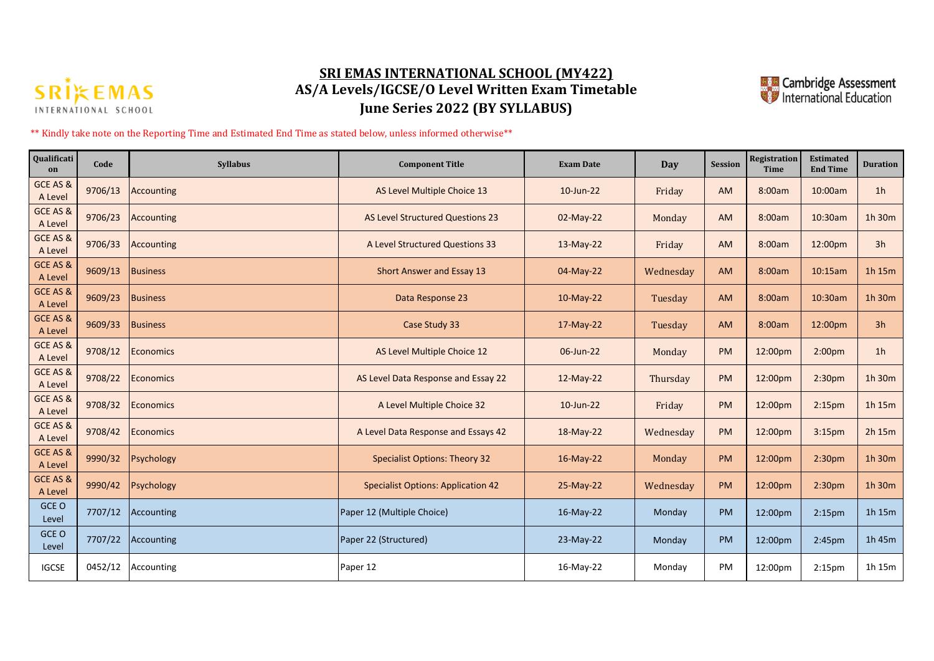

## **SRI EMAS INTERNATIONAL SCHOOL (MY422) AS/A Levels/IGCSE/O Level Written Exam Timetable June Series 2022 (BY SYLLABUS)**



\*\* Kindly take note on the Reporting Time and Estimated End Time as stated below, unless informed otherwise\*\*

| Qualificati<br>on   | Code    | <b>Syllabus</b>   | <b>Component Title</b>                    | <b>Exam Date</b> | Day       | <b>Session</b> | Registration<br><b>Time</b> | <b>Estimated</b><br><b>End Time</b> | <b>Duration</b> |
|---------------------|---------|-------------------|-------------------------------------------|------------------|-----------|----------------|-----------------------------|-------------------------------------|-----------------|
| GCE AS &<br>A Level | 9706/13 | Accounting        | AS Level Multiple Choice 13               | 10-Jun-22        | Friday    | AM             | 8:00am                      | 10:00am                             | 1 <sub>h</sub>  |
| GCE AS &<br>A Level | 9706/23 | <b>Accounting</b> | AS Level Structured Questions 23          | 02-May-22        | Monday    | <b>AM</b>      | 8:00am                      | 10:30am                             | 1h 30m          |
| GCE AS &<br>A Level | 9706/33 | Accounting        | A Level Structured Questions 33           | $13-May-22$      | Friday    | AM             | 8:00am                      | 12:00pm                             | 3h              |
| GCE AS &<br>A Level | 9609/13 | <b>Business</b>   | Short Answer and Essay 13                 | 04-May-22        | Wednesday | <b>AM</b>      | 8:00am                      | 10:15am                             | 1h 15m          |
| GCE AS &<br>A Level | 9609/23 | <b>Business</b>   | Data Response 23                          | $10-May-22$      | Tuesday   | AM             | 8:00am                      | 10:30am                             | 1h 30m          |
| GCE AS &<br>A Level | 9609/33 | <b>Business</b>   | Case Study 33                             | $17-May-22$      | Tuesday   | AM             | 8:00am                      | 12:00pm                             | 3h              |
| GCE AS &<br>A Level | 9708/12 | Economics         | AS Level Multiple Choice 12               | 06-Jun-22        | Monday    | <b>PM</b>      | 12:00pm                     | 2:00 <sub>pm</sub>                  | 1 <sub>h</sub>  |
| GCE AS &<br>A Level | 9708/22 | Economics         | AS Level Data Response and Essay 22       | $12-May-22$      | Thursday  | <b>PM</b>      | 12:00pm                     | 2:30 <sub>pm</sub>                  | 1h 30m          |
| GCE AS &<br>A Level | 9708/32 | Economics         | A Level Multiple Choice 32                | 10-Jun-22        | Friday    | <b>PM</b>      | 12:00pm                     | 2:15 <sub>pm</sub>                  | 1h 15m          |
| GCE AS &<br>A Level | 9708/42 | Economics         | A Level Data Response and Essays 42       | $18-May-22$      | Wednesday | <b>PM</b>      | 12:00pm                     | 3:15 <sub>pm</sub>                  | 2h 15m          |
| GCE AS &<br>A Level | 9990/32 | Psychology        | <b>Specialist Options: Theory 32</b>      | 16-May-22        | Monday    | <b>PM</b>      | 12:00pm                     | 2:30 <sub>pm</sub>                  | 1h 30m          |
| GCE AS &<br>A Level | 9990/42 | Psychology        | <b>Specialist Options: Application 42</b> | 25-May-22        | Wednesday | <b>PM</b>      | 12:00pm                     | 2:30pm                              | 1h 30m          |
| GCE O<br>Level      | 7707/12 | Accounting        | Paper 12 (Multiple Choice)                | $16$ -May-22     | Monday    | PM             | 12:00pm                     | 2:15 <sub>pm</sub>                  | 1h 15m          |
| GCE O<br>Level      | 7707/22 | Accounting        | Paper 22 (Structured)                     | 23-May-22        | Monday    | <b>PM</b>      | 12:00pm                     | 2:45pm                              | 1h 45m          |
| <b>IGCSE</b>        | 0452/12 | Accounting        | Paper 12                                  | 16-May-22        | Monday    | PM             | 12:00pm                     | 2:15 <sub>pm</sub>                  | 1h 15m          |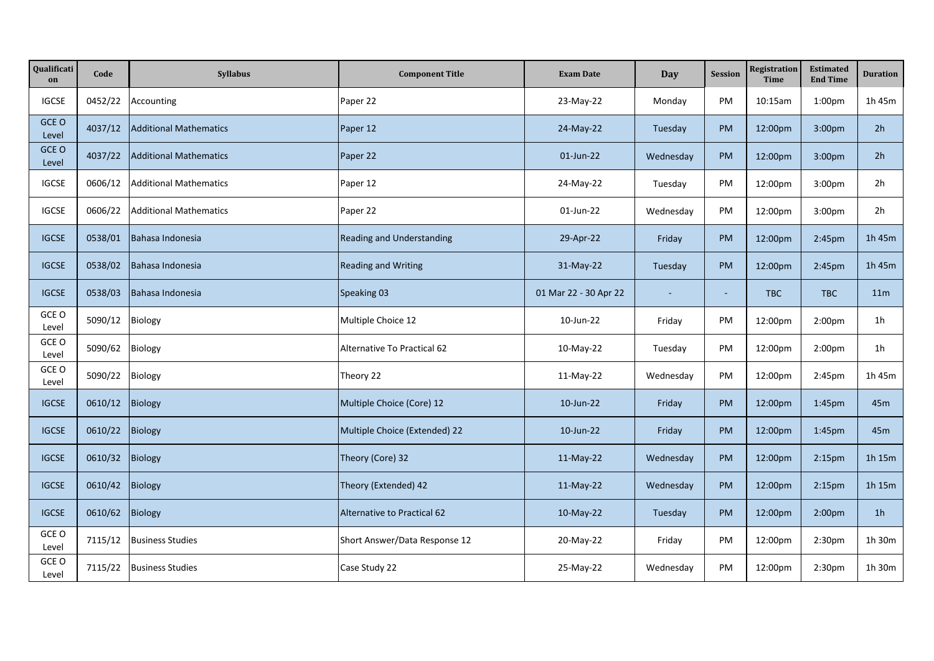| Qualificati<br>on | Code    | Syllabus                      | <b>Component Title</b>           | <b>Exam Date</b>      | Day       | <b>Session</b> | Registration<br><b>Time</b> | <b>Estimated</b><br><b>End Time</b> | <b>Duration</b> |
|-------------------|---------|-------------------------------|----------------------------------|-----------------------|-----------|----------------|-----------------------------|-------------------------------------|-----------------|
| <b>IGCSE</b>      | 0452/22 | Accounting                    | Paper 22                         | 23-May-22             | Monday    | PM             | 10:15am                     | 1:00 <sub>pm</sub>                  | 1h 45m          |
| GCE O<br>Level    | 4037/12 | <b>Additional Mathematics</b> | Paper 12                         | 24-May-22             | Tuesday   | PM             | 12:00pm                     | 3:00pm                              | 2h              |
| GCE O<br>Level    | 4037/22 | <b>Additional Mathematics</b> | Paper 22                         | 01-Jun-22             | Wednesday | <b>PM</b>      | 12:00pm                     | 3:00 <sub>pm</sub>                  | 2 <sub>h</sub>  |
| <b>IGCSE</b>      | 0606/12 | <b>Additional Mathematics</b> | Paper 12                         | 24-May-22             | Tuesday   | PM             | 12:00pm                     | 3:00 <sub>pm</sub>                  | 2h              |
| <b>IGCSE</b>      | 0606/22 | <b>Additional Mathematics</b> | Paper 22                         | 01-Jun-22             | Wednesday | PM             | 12:00pm                     | 3:00 <sub>pm</sub>                  | 2h              |
| <b>IGCSE</b>      | 0538/01 | Bahasa Indonesia              | <b>Reading and Understanding</b> | 29-Apr-22             | Friday    | <b>PM</b>      | 12:00pm                     | 2:45pm                              | 1h 45m          |
| <b>IGCSE</b>      | 0538/02 | Bahasa Indonesia              | <b>Reading and Writing</b>       | 31-May-22             | Tuesday   | PM             | 12:00pm                     | 2:45pm                              | 1h 45m          |
| <b>IGCSE</b>      | 0538/03 | Bahasa Indonesia              | Speaking 03                      | 01 Mar 22 - 30 Apr 22 |           |                | <b>TBC</b>                  | TBC                                 | 11 <sub>m</sub> |
| GCE O<br>Level    | 5090/12 | Biology                       | Multiple Choice 12               | 10-Jun-22             | Friday    | PM             | 12:00pm                     | 2:00pm                              | 1 <sub>h</sub>  |
| GCE O<br>Level    | 5090/62 | Biology                       | Alternative To Practical 62      | 10-May-22             | Tuesday   | PM             | 12:00pm                     | 2:00pm                              | 1 <sub>h</sub>  |
| GCE O<br>Level    | 5090/22 | Biology                       | Theory 22                        | 11-May-22             | Wednesday | PM             | 12:00pm                     | 2:45pm                              | 1h 45m          |
| <b>IGCSE</b>      | 0610/12 | Biology                       | Multiple Choice (Core) 12        | 10-Jun-22             | Friday    | <b>PM</b>      | 12:00pm                     | 1:45pm                              | 45m             |
| <b>IGCSE</b>      | 0610/22 | <b>Biology</b>                | Multiple Choice (Extended) 22    | 10-Jun-22             | Friday    | <b>PM</b>      | 12:00pm                     | 1:45 <sub>pm</sub>                  | 45m             |
| <b>IGCSE</b>      | 0610/32 | Biology                       | Theory (Core) 32                 | 11-May-22             | Wednesday | <b>PM</b>      | 12:00pm                     | 2:15 <sub>pm</sub>                  | 1h 15m          |
| <b>IGCSE</b>      | 0610/42 | <b>Biology</b>                | Theory (Extended) 42             | 11-May-22             | Wednesday | <b>PM</b>      | 12:00pm                     | 2:15 <sub>pm</sub>                  | 1h 15m          |
| <b>IGCSE</b>      | 0610/62 | <b>Biology</b>                | Alternative to Practical 62      | 10-May-22             | Tuesday   | <b>PM</b>      | 12:00pm                     | 2:00 <sub>pm</sub>                  | 1 <sub>h</sub>  |
| GCE O<br>Level    | 7115/12 | <b>Business Studies</b>       | Short Answer/Data Response 12    | 20-May-22             | Friday    | PM             | 12:00pm                     | 2:30 <sub>pm</sub>                  | 1h 30m          |
| GCE O<br>Level    | 7115/22 | <b>Business Studies</b>       | Case Study 22                    | 25-May-22             | Wednesday | PM             | 12:00pm                     | 2:30pm                              | 1h 30m          |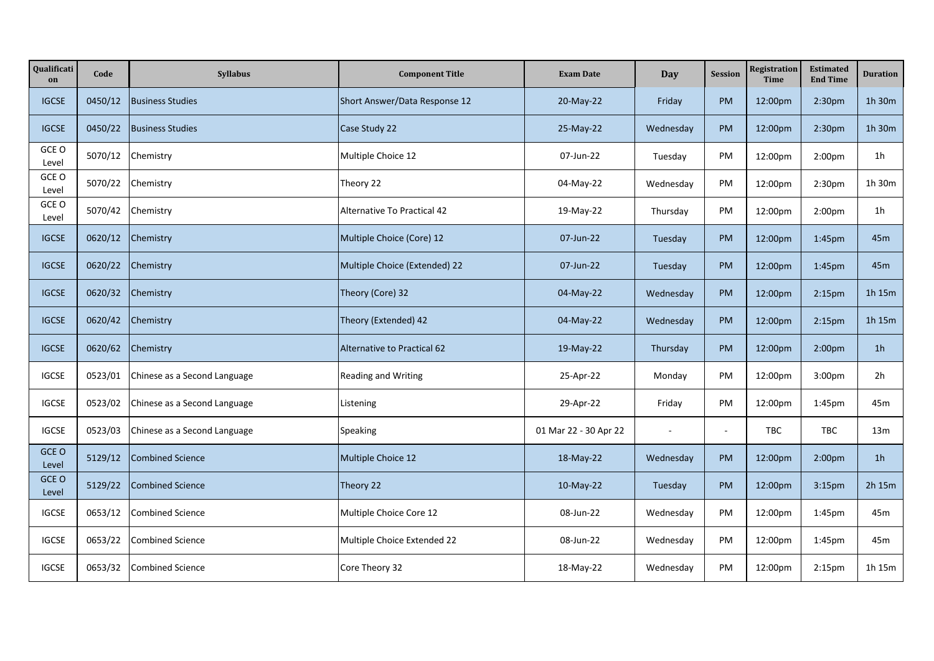| Qualificati<br>on | Code    | Syllabus                     | <b>Component Title</b>        | <b>Exam Date</b>      | Day       | <b>Session</b> | Registration<br><b>Time</b> | <b>Estimated</b><br><b>End Time</b> | <b>Duration</b> |
|-------------------|---------|------------------------------|-------------------------------|-----------------------|-----------|----------------|-----------------------------|-------------------------------------|-----------------|
| <b>IGCSE</b>      | 0450/12 | <b>Business Studies</b>      | Short Answer/Data Response 12 | 20-May-22             | Friday    | PM             | 12:00pm                     | 2:30pm                              | 1h 30m          |
| <b>IGCSE</b>      | 0450/22 | <b>Business Studies</b>      | Case Study 22                 | 25-May-22             | Wednesday | PM             | 12:00pm                     | 2:30 <sub>pm</sub>                  | 1h 30m          |
| GCE O<br>Level    | 5070/12 | Chemistry                    | Multiple Choice 12            | 07-Jun-22             | Tuesday   | PM             | 12:00pm                     | 2:00 <sub>pm</sub>                  | 1 <sub>h</sub>  |
| GCE O<br>Level    | 5070/22 | Chemistry                    | Theory 22                     | 04-May-22             | Wednesday | PM             | 12:00pm                     | 2:30 <sub>pm</sub>                  | 1h 30m          |
| GCE O<br>Level    | 5070/42 | Chemistry                    | Alternative To Practical 42   | 19-May-22             | Thursday  | PM             | 12:00pm                     | 2:00 <sub>pm</sub>                  | 1 <sub>h</sub>  |
| <b>IGCSE</b>      | 0620/12 | Chemistry                    | Multiple Choice (Core) 12     | 07-Jun-22             | Tuesday   | PM             | 12:00pm                     | 1:45pm                              | 45 <sub>m</sub> |
| <b>IGCSE</b>      | 0620/22 | Chemistry                    | Multiple Choice (Extended) 22 | 07-Jun-22             | Tuesday   | <b>PM</b>      | 12:00pm                     | 1:45pm                              | 45 <sub>m</sub> |
| <b>IGCSE</b>      | 0620/32 | Chemistry                    | Theory (Core) 32              | 04-May-22             | Wednesday | <b>PM</b>      | 12:00pm                     | 2:15 <sub>pm</sub>                  | 1h 15m          |
| <b>IGCSE</b>      | 0620/42 | Chemistry                    | Theory (Extended) 42          | 04-May-22             | Wednesday | <b>PM</b>      | 12:00pm                     | 2:15 <sub>pm</sub>                  | 1h 15m          |
| <b>IGCSE</b>      | 0620/62 | Chemistry                    | Alternative to Practical 62   | 19-May-22             | Thursday  | <b>PM</b>      | 12:00pm                     | 2:00 <sub>pm</sub>                  | 1 <sub>h</sub>  |
| <b>IGCSE</b>      | 0523/01 | Chinese as a Second Language | Reading and Writing           | 25-Apr-22             | Monday    | PM             | 12:00pm                     | 3:00pm                              | 2h              |
| <b>IGCSE</b>      | 0523/02 | Chinese as a Second Language | Listening                     | 29-Apr-22             | Friday    | PM             | 12:00pm                     | 1:45pm                              | 45m             |
| <b>IGCSE</b>      | 0523/03 | Chinese as a Second Language | Speaking                      | 01 Mar 22 - 30 Apr 22 |           |                | TBC                         | TBC                                 | 13m             |
| GCE O<br>Level    | 5129/12 | <b>Combined Science</b>      | Multiple Choice 12            | 18-May-22             | Wednesday | <b>PM</b>      | 12:00pm                     | 2:00 <sub>pm</sub>                  | 1 <sub>h</sub>  |
| GCE O<br>Level    | 5129/22 | <b>Combined Science</b>      | Theory 22                     | 10-May-22             | Tuesday   | <b>PM</b>      | 12:00pm                     | 3:15pm                              | 2h 15m          |
| <b>IGCSE</b>      | 0653/12 | <b>Combined Science</b>      | Multiple Choice Core 12       | 08-Jun-22             | Wednesday | PM             | 12:00pm                     | 1:45pm                              | 45m             |
| <b>IGCSE</b>      | 0653/22 | <b>Combined Science</b>      | Multiple Choice Extended 22   | 08-Jun-22             | Wednesday | PM             | 12:00pm                     | 1:45pm                              | 45m             |
| <b>IGCSE</b>      | 0653/32 | <b>Combined Science</b>      | Core Theory 32                | 18-May-22             | Wednesday | PM             | 12:00pm                     | 2:15 <sub>pm</sub>                  | 1h 15m          |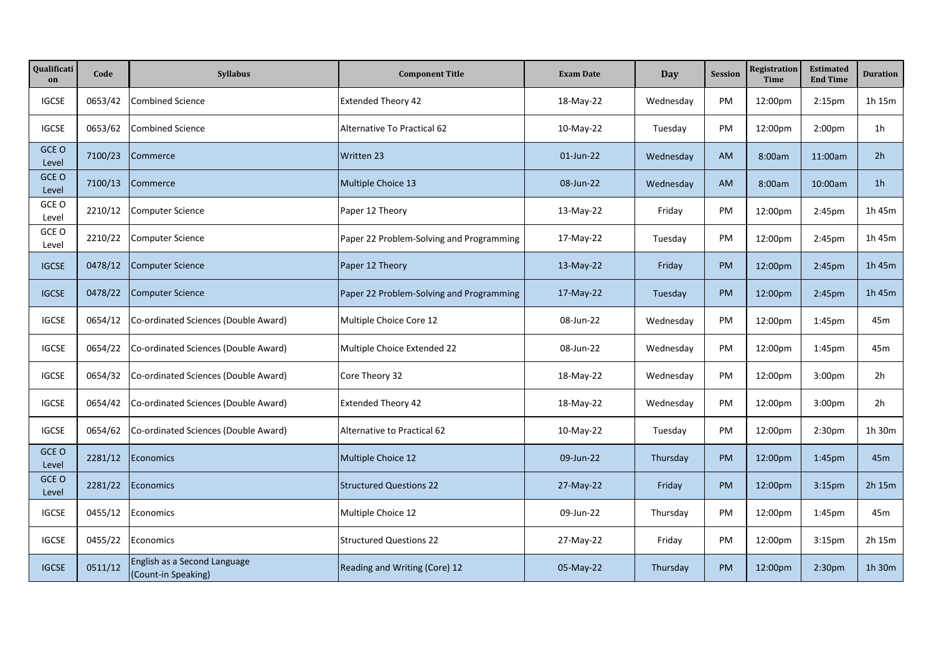| Qualificati<br>on | Code    | Syllabus                                            | <b>Component Title</b>                   | <b>Exam Date</b> | Day       | <b>Session</b> | <b>Registration</b><br><b>Time</b> | <b>Estimated</b><br><b>End Time</b> | <b>Duration</b> |
|-------------------|---------|-----------------------------------------------------|------------------------------------------|------------------|-----------|----------------|------------------------------------|-------------------------------------|-----------------|
| <b>IGCSE</b>      | 0653/42 | <b>Combined Science</b>                             | <b>Extended Theory 42</b>                | 18-May-22        | Wednesday | PM             | 12:00pm                            | 2:15 <sub>pm</sub>                  | 1h 15m          |
| <b>IGCSE</b>      | 0653/62 | <b>Combined Science</b>                             | Alternative To Practical 62              | 10-May-22        | Tuesday   | PM             | 12:00pm                            | 2:00pm                              | 1 <sub>h</sub>  |
| GCE O<br>Level    | 7100/23 | Commerce                                            | Written 23                               | 01-Jun-22        | Wednesday | <b>AM</b>      | 8:00am                             | 11:00am                             | 2 <sub>h</sub>  |
| GCE O<br>Level    | 7100/13 | Commerce                                            | Multiple Choice 13                       | 08-Jun-22        | Wednesday | <b>AM</b>      | 8:00am                             | 10:00am                             | 1 <sub>h</sub>  |
| GCE O<br>Level    | 2210/12 | <b>Computer Science</b>                             | Paper 12 Theory                          | 13-May-22        | Friday    | PM             | 12:00pm                            | 2:45pm                              | 1h 45m          |
| GCE O<br>Level    | 2210/22 | <b>Computer Science</b>                             | Paper 22 Problem-Solving and Programming | 17-May-22        | Tuesday   | PM             | 12:00pm                            | 2:45pm                              | 1h 45m          |
| <b>IGCSE</b>      | 0478/12 | <b>Computer Science</b>                             | Paper 12 Theory                          | 13-May-22        | Friday    | <b>PM</b>      | 12:00pm                            | 2:45pm                              | 1h 45m          |
| <b>IGCSE</b>      | 0478/22 | <b>Computer Science</b>                             | Paper 22 Problem-Solving and Programming | 17-May-22        | Tuesday   | <b>PM</b>      | 12:00pm                            | 2:45pm                              | 1h 45m          |
| <b>IGCSE</b>      | 0654/12 | Co-ordinated Sciences (Double Award)                | Multiple Choice Core 12                  | 08-Jun-22        | Wednesday | PM             | 12:00pm                            | 1:45pm                              | 45m             |
| <b>IGCSE</b>      | 0654/22 | Co-ordinated Sciences (Double Award)                | Multiple Choice Extended 22              | 08-Jun-22        | Wednesday | PM             | 12:00pm                            | 1:45pm                              | 45m             |
| <b>IGCSE</b>      | 0654/32 | Co-ordinated Sciences (Double Award)                | Core Theory 32                           | 18-May-22        | Wednesday | PM             | 12:00pm                            | 3:00pm                              | 2h              |
| <b>IGCSE</b>      | 0654/42 | Co-ordinated Sciences (Double Award)                | <b>Extended Theory 42</b>                | 18-May-22        | Wednesday | PM             | 12:00pm                            | 3:00pm                              | 2h              |
| <b>IGCSE</b>      | 0654/62 | Co-ordinated Sciences (Double Award)                | <b>Alternative to Practical 62</b>       | 10-May-22        | Tuesday   | PM             | 12:00pm                            | 2:30 <sub>pm</sub>                  | 1h 30m          |
| GCE O<br>Level    | 2281/12 | Economics                                           | Multiple Choice 12                       | 09-Jun-22        | Thursday  | <b>PM</b>      | 12:00pm                            | 1:45pm                              | 45m             |
| GCE O<br>Level    | 2281/22 | Economics                                           | <b>Structured Questions 22</b>           | 27-May-22        | Friday    | <b>PM</b>      | 12:00pm                            | 3:15 <sub>pm</sub>                  | 2h 15m          |
| <b>IGCSE</b>      | 0455/12 | Economics                                           | Multiple Choice 12                       | 09-Jun-22        | Thursday  | PM             | 12:00pm                            | 1:45pm                              | 45m             |
| <b>IGCSE</b>      | 0455/22 | Economics                                           | <b>Structured Questions 22</b>           | 27-May-22        | Friday    | PM             | 12:00pm                            | 3:15 <sub>pm</sub>                  | 2h 15m          |
| <b>IGCSE</b>      | 0511/12 | English as a Second Language<br>(Count-in Speaking) | Reading and Writing (Core) 12            | 05-May-22        | Thursday  | PM             | 12:00pm                            | 2:30 <sub>pm</sub>                  | 1h 30m          |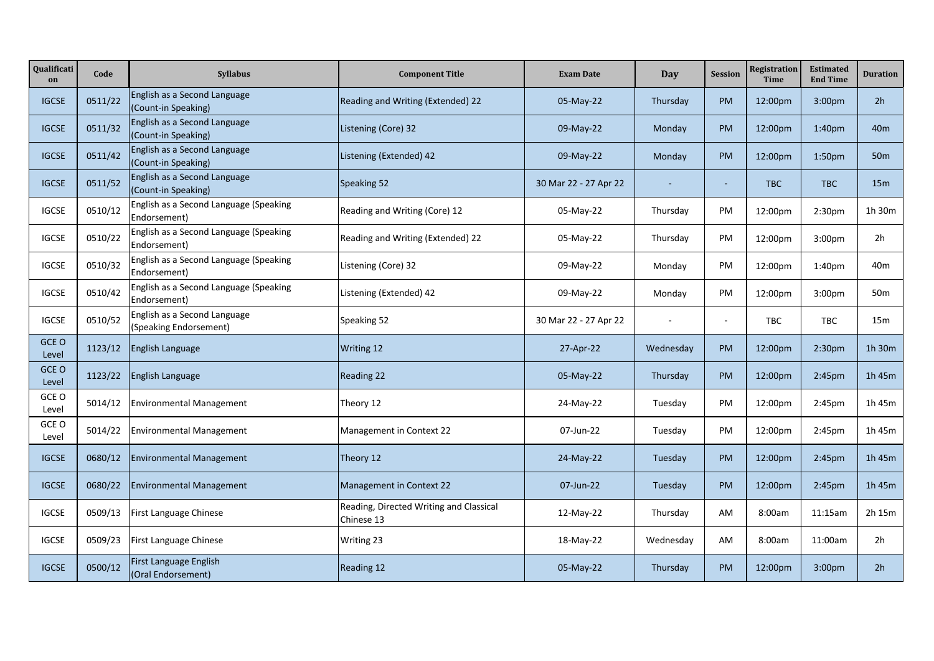| Qualificati<br>on | Code    | <b>Syllabus</b>                                        | <b>Component Title</b>                                | <b>Exam Date</b>      | Day                      | <b>Session</b> | Registration<br><b>Time</b> | <b>Estimated</b><br><b>End Time</b> | <b>Duration</b> |
|-------------------|---------|--------------------------------------------------------|-------------------------------------------------------|-----------------------|--------------------------|----------------|-----------------------------|-------------------------------------|-----------------|
| <b>IGCSE</b>      | 0511/22 | English as a Second Language<br>(Count-in Speaking)    | Reading and Writing (Extended) 22                     | 05-May-22             | Thursday                 | <b>PM</b>      | 12:00pm                     | 3:00pm                              | 2h              |
| <b>IGCSE</b>      | 0511/32 | English as a Second Language<br>(Count-in Speaking)    | Listening (Core) 32                                   | 09-May-22             | Monday                   | <b>PM</b>      | 12:00pm                     | 1:40pm                              | 40 <sub>m</sub> |
| <b>IGCSE</b>      | 0511/42 | English as a Second Language<br>(Count-in Speaking)    | Listening (Extended) 42                               | 09-May-22             | Monday                   | <b>PM</b>      | 12:00pm                     | 1:50 <sub>pm</sub>                  | 50 <sub>m</sub> |
| <b>IGCSE</b>      | 0511/52 | English as a Second Language<br>(Count-in Speaking)    | Speaking 52                                           | 30 Mar 22 - 27 Apr 22 |                          |                | <b>TBC</b>                  | <b>TBC</b>                          | 15 <sub>m</sub> |
| <b>IGCSE</b>      | 0510/12 | English as a Second Language (Speaking<br>Endorsement) | Reading and Writing (Core) 12                         | 05-May-22             | Thursday                 | PM             | 12:00pm                     | 2:30pm                              | 1h 30m          |
| <b>IGCSE</b>      | 0510/22 | English as a Second Language (Speaking<br>Endorsement) | Reading and Writing (Extended) 22                     | 05-May-22             | Thursday                 | PM             | 12:00pm                     | 3:00 <sub>pm</sub>                  | 2h              |
| <b>IGCSE</b>      | 0510/32 | English as a Second Language (Speaking<br>Endorsement) | Listening (Core) 32                                   | 09-May-22             | Monday                   | PM             | 12:00pm                     | 1:40 <sub>pm</sub>                  | 40m             |
| <b>IGCSE</b>      | 0510/42 | English as a Second Language (Speaking<br>Endorsement) | Listening (Extended) 42                               | 09-May-22             | Monday                   | <b>PM</b>      | 12:00pm                     | 3:00 <sub>pm</sub>                  | 50 <sub>m</sub> |
| <b>IGCSE</b>      | 0510/52 | English as a Second Language<br>(Speaking Endorsement) | Speaking 52                                           | 30 Mar 22 - 27 Apr 22 | $\overline{\phantom{a}}$ |                | TBC                         | TBC                                 | 15m             |
| GCE O<br>Level    | 1123/12 | English Language                                       | Writing 12                                            | 27-Apr-22             | Wednesday                | <b>PM</b>      | 12:00pm                     | 2:30 <sub>pm</sub>                  | 1h 30m          |
| GCE O<br>Level    | 1123/22 | English Language                                       | <b>Reading 22</b>                                     | 05-May-22             | Thursday                 | <b>PM</b>      | 12:00pm                     | 2:45pm                              | 1h 45m          |
| GCE O<br>Level    | 5014/12 | <b>Environmental Management</b>                        | Theory 12                                             | 24-May-22             | Tuesday                  | <b>PM</b>      | 12:00pm                     | 2:45pm                              | 1h 45m          |
| GCE O<br>Level    | 5014/22 | <b>Environmental Management</b>                        | Management in Context 22                              | 07-Jun-22             | Tuesday                  | <b>PM</b>      | 12:00pm                     | 2:45pm                              | 1h 45m          |
| <b>IGCSE</b>      | 0680/12 | <b>Environmental Management</b>                        | Theory 12                                             | 24-May-22             | Tuesday                  | <b>PM</b>      | 12:00pm                     | 2:45pm                              | 1h 45m          |
| <b>IGCSE</b>      | 0680/22 | <b>Environmental Management</b>                        | Management in Context 22                              | 07-Jun-22             | Tuesday                  | <b>PM</b>      | 12:00pm                     | 2:45pm                              | 1h 45m          |
| <b>IGCSE</b>      | 0509/13 | First Language Chinese                                 | Reading, Directed Writing and Classical<br>Chinese 13 | 12-May-22             | Thursday                 | AM             | 8:00am                      | 11:15am                             | 2h 15m          |
| <b>IGCSE</b>      | 0509/23 | First Language Chinese                                 | <b>Writing 23</b>                                     | 18-May-22             | Wednesday                | AM             | 8:00am                      | 11:00am                             | 2h              |
| <b>IGCSE</b>      | 0500/12 | First Language English<br>(Oral Endorsement)           | Reading 12                                            | 05-May-22             | Thursday                 | PM             | 12:00pm                     | 3:00 <sub>pm</sub>                  | 2 <sub>h</sub>  |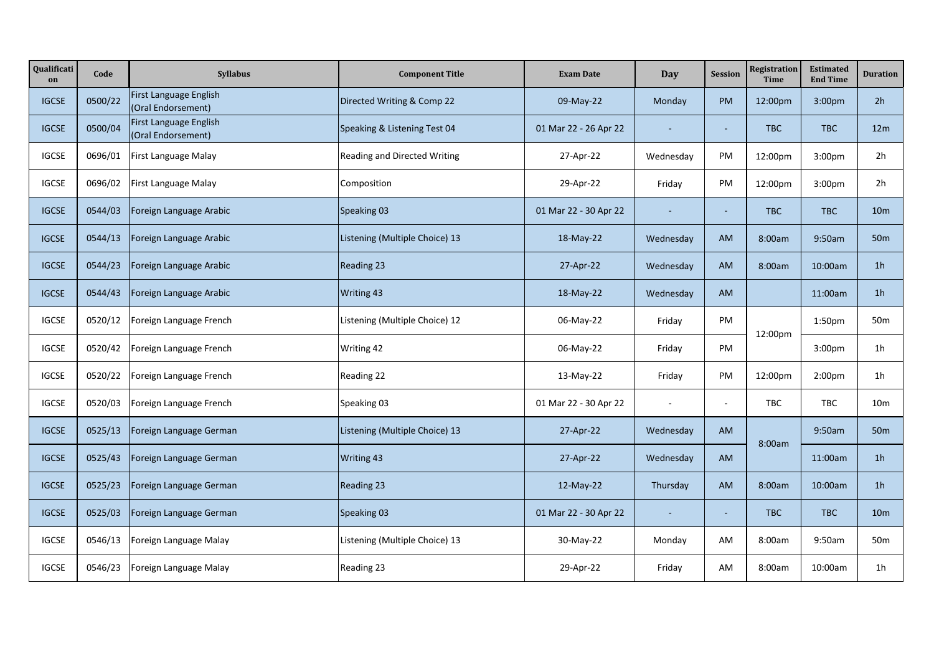| Qualificati<br>on | Code    | <b>Syllabus</b>                              | <b>Component Title</b>         | <b>Exam Date</b>      | <b>Day</b> | <b>Session</b> | <b>Registration</b><br><b>Time</b> | <b>Estimated</b><br><b>End Time</b> | <b>Duration</b> |
|-------------------|---------|----------------------------------------------|--------------------------------|-----------------------|------------|----------------|------------------------------------|-------------------------------------|-----------------|
| <b>IGCSE</b>      | 0500/22 | First Language English<br>(Oral Endorsement) | Directed Writing & Comp 22     | 09-May-22             | Monday     | <b>PM</b>      | 12:00pm                            | 3:00pm                              | 2h              |
| <b>IGCSE</b>      | 0500/04 | First Language English<br>(Oral Endorsement) | Speaking & Listening Test 04   | 01 Mar 22 - 26 Apr 22 | $\sim$     |                | <b>TBC</b>                         | TBC                                 | 12m             |
| <b>IGCSE</b>      | 0696/01 | First Language Malay                         | Reading and Directed Writing   | 27-Apr-22             | Wednesday  | PM             | 12:00pm                            | 3:00pm                              | 2h              |
| <b>IGCSE</b>      | 0696/02 | First Language Malay                         | Composition                    | 29-Apr-22             | Friday     | PM             | 12:00pm                            | 3:00pm                              | 2h              |
| <b>IGCSE</b>      | 0544/03 | Foreign Language Arabic                      | Speaking 03                    | 01 Mar 22 - 30 Apr 22 | $\sim$     | $\sim$         | <b>TBC</b>                         | <b>TBC</b>                          | 10 <sub>m</sub> |
| <b>IGCSE</b>      | 0544/13 | Foreign Language Arabic                      | Listening (Multiple Choice) 13 | 18-May-22             | Wednesday  | <b>AM</b>      | 8:00am                             | 9:50am                              | 50 <sub>m</sub> |
| <b>IGCSE</b>      | 0544/23 | Foreign Language Arabic                      | Reading 23                     | 27-Apr-22             | Wednesday  | <b>AM</b>      | 8:00am                             | 10:00am                             | 1 <sub>h</sub>  |
| <b>IGCSE</b>      | 0544/43 | Foreign Language Arabic                      | Writing 43                     | 18-May-22             | Wednesday  | <b>AM</b>      |                                    | 11:00am                             | 1 <sub>h</sub>  |
| <b>IGCSE</b>      | 0520/12 | Foreign Language French                      | Listening (Multiple Choice) 12 | 06-May-22             | Friday     | PM             | 12:00pm                            | 1:50pm                              | 50m             |
| <b>IGCSE</b>      | 0520/42 | Foreign Language French                      | Writing 42                     | 06-May-22             | Friday     | PM             |                                    | 3:00pm                              | 1 <sub>h</sub>  |
| <b>IGCSE</b>      | 0520/22 | Foreign Language French                      | Reading 22                     | 13-May-22             | Friday     | <b>PM</b>      | 12:00pm                            | 2:00 <sub>pm</sub>                  | 1h              |
| <b>IGCSE</b>      | 0520/03 | Foreign Language French                      | Speaking 03                    | 01 Mar 22 - 30 Apr 22 |            |                | <b>TBC</b>                         | <b>TBC</b>                          | 10 <sub>m</sub> |
| <b>IGCSE</b>      | 0525/13 | Foreign Language German                      | Listening (Multiple Choice) 13 | 27-Apr-22             | Wednesday  | <b>AM</b>      | 8:00am                             | 9:50am                              | 50 <sub>m</sub> |
| <b>IGCSE</b>      | 0525/43 | Foreign Language German                      | Writing 43                     | 27-Apr-22             | Wednesday  | AM             |                                    | 11:00am                             | 1 <sub>h</sub>  |
| <b>IGCSE</b>      | 0525/23 | Foreign Language German                      | Reading 23                     | 12-May-22             | Thursday   | <b>AM</b>      | 8:00am                             | 10:00am                             | 1 <sub>h</sub>  |
| <b>IGCSE</b>      | 0525/03 | Foreign Language German                      | Speaking 03                    | 01 Mar 22 - 30 Apr 22 |            |                | <b>TBC</b>                         | TBC                                 | 10 <sub>m</sub> |
| <b>IGCSE</b>      | 0546/13 | Foreign Language Malay                       | Listening (Multiple Choice) 13 | 30-May-22             | Monday     | AM             | 8:00am                             | 9:50am                              | 50 <sub>m</sub> |
| <b>IGCSE</b>      | 0546/23 | Foreign Language Malay                       | Reading 23                     | 29-Apr-22             | Friday     | AM             | 8:00am                             | 10:00am                             | 1 <sub>h</sub>  |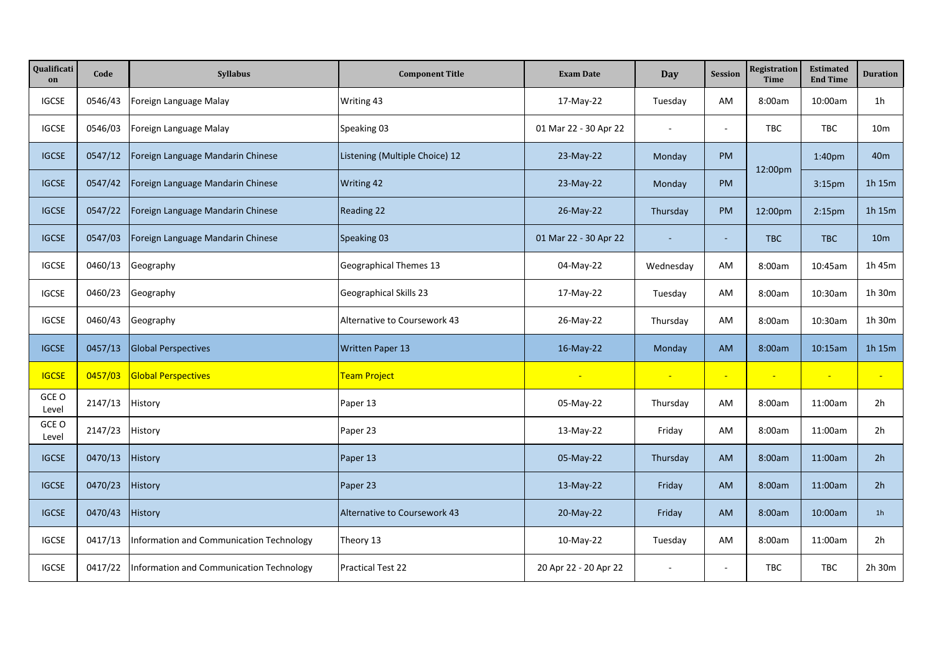| Qualificati<br>on | Code    | Syllabus                                 | <b>Component Title</b>         | <b>Exam Date</b>         | Day            | <b>Session</b>           | Registration<br><b>Time</b> | <b>Estimated</b><br><b>End Time</b> | <b>Duration</b>          |
|-------------------|---------|------------------------------------------|--------------------------------|--------------------------|----------------|--------------------------|-----------------------------|-------------------------------------|--------------------------|
| <b>IGCSE</b>      | 0546/43 | Foreign Language Malay                   | Writing 43                     | 17-May-22                | Tuesday        | AM                       | 8:00am                      | 10:00am                             | 1 <sub>h</sub>           |
| <b>IGCSE</b>      | 0546/03 | Foreign Language Malay                   | Speaking 03                    | 01 Mar 22 - 30 Apr 22    | $\sim$         | $\sim$                   | <b>TBC</b>                  | TBC                                 | 10 <sub>m</sub>          |
| <b>IGCSE</b>      | 0547/12 | Foreign Language Mandarin Chinese        | Listening (Multiple Choice) 12 | 23-May-22                | Monday         | <b>PM</b>                | 12:00pm                     | 1:40 <sub>pm</sub>                  | 40 <sub>m</sub>          |
| <b>IGCSE</b>      | 0547/42 | Foreign Language Mandarin Chinese        | Writing 42                     | 23-May-22                | Monday         | <b>PM</b>                |                             | 3:15 <sub>pm</sub>                  | 1h 15m                   |
| <b>IGCSE</b>      | 0547/22 | Foreign Language Mandarin Chinese        | Reading 22                     | 26-May-22                | Thursday       | <b>PM</b>                | 12:00pm                     | 2:15 <sub>pm</sub>                  | 1h 15m                   |
| <b>IGCSE</b>      | 0547/03 | Foreign Language Mandarin Chinese        | Speaking 03                    | 01 Mar 22 - 30 Apr 22    |                | $\sim$                   | <b>TBC</b>                  | TBC                                 | 10 <sub>m</sub>          |
| <b>IGCSE</b>      | 0460/13 | Geography                                | <b>Geographical Themes 13</b>  | 04-May-22                | Wednesday      | AM                       | 8:00am                      | 10:45am                             | 1h 45m                   |
| <b>IGCSE</b>      | 0460/23 | Geography                                | Geographical Skills 23         | 17-May-22                | Tuesday        | AM                       | 8:00am                      | 10:30am                             | 1h 30m                   |
| <b>IGCSE</b>      | 0460/43 | Geography                                | Alternative to Coursework 43   | 26-May-22                | Thursday       | AM                       | 8:00am                      | 10:30am                             | 1h 30m                   |
| <b>IGCSE</b>      | 0457/13 | <b>Global Perspectives</b>               | <b>Written Paper 13</b>        | 16-May-22                | Monday         | <b>AM</b>                | 8:00am                      | 10:15am                             | 1h 15m                   |
| <b>IGCSE</b>      | 0457/03 | <b>Global Perspectives</b>               | Team Project                   | $\overline{\phantom{a}}$ | $\blacksquare$ | $\overline{\phantom{a}}$ | $\overline{\phantom{a}}$    | $\overline{\phantom{a}}$            | $\overline{\phantom{a}}$ |
| GCE O<br>Level    | 2147/13 | History                                  | Paper 13                       | 05-May-22                | Thursday       | AM                       | 8:00am                      | 11:00am                             | 2h                       |
| GCE O<br>Level    | 2147/23 | History                                  | Paper 23                       | 13-May-22                | Friday         | AM                       | 8:00am                      | 11:00am                             | 2h                       |
| <b>IGCSE</b>      | 0470/13 | History                                  | Paper 13                       | 05-May-22                | Thursday       | <b>AM</b>                | 8:00am                      | 11:00am                             | 2h                       |
| <b>IGCSE</b>      | 0470/23 | History                                  | Paper 23                       | 13-May-22                | Friday         | <b>AM</b>                | 8:00am                      | 11:00am                             | 2 <sub>h</sub>           |
| <b>IGCSE</b>      | 0470/43 | History                                  | Alternative to Coursework 43   | 20-May-22                | Friday         | <b>AM</b>                | 8:00am                      | 10:00am                             | 1 <sub>h</sub>           |
| <b>IGCSE</b>      | 0417/13 | Information and Communication Technology | Theory 13                      | 10-May-22                | Tuesday        | AM                       | 8:00am                      | 11:00am                             | 2h                       |
| <b>IGCSE</b>      | 0417/22 | Information and Communication Technology | <b>Practical Test 22</b>       | 20 Apr 22 - 20 Apr 22    |                | $\sim$                   | TBC                         | TBC                                 | 2h 30m                   |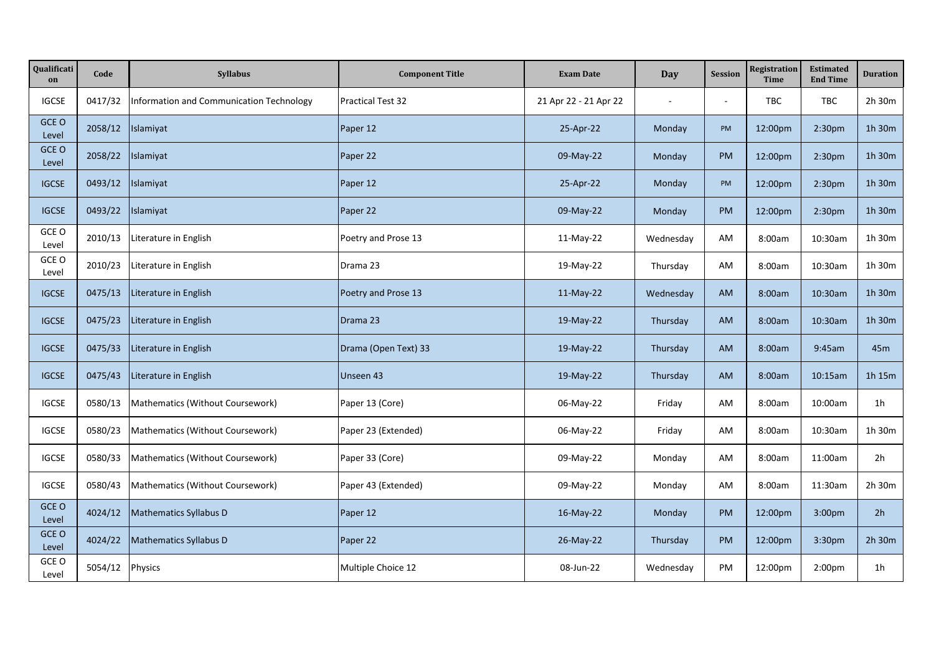| Qualificati<br>on | Code    | Syllabus                                 | <b>Component Title</b>   | <b>Exam Date</b>      | Day       | <b>Session</b> | Registration<br>Time | <b>Estimated</b><br><b>End Time</b> | <b>Duration</b> |
|-------------------|---------|------------------------------------------|--------------------------|-----------------------|-----------|----------------|----------------------|-------------------------------------|-----------------|
| <b>IGCSE</b>      | 0417/32 | Information and Communication Technology | <b>Practical Test 32</b> | 21 Apr 22 - 21 Apr 22 |           |                | TBC                  | TBC                                 | 2h 30m          |
| GCE O<br>Level    | 2058/12 | Islamiyat                                | Paper 12                 | 25-Apr-22             | Monday    | PM             | 12:00pm              | 2:30 <sub>pm</sub>                  | 1h 30m          |
| GCE O<br>Level    | 2058/22 | Islamiyat                                | Paper 22                 | 09-May-22             | Monday    | <b>PM</b>      | 12:00pm              | 2:30pm                              | 1h 30m          |
| <b>IGCSE</b>      | 0493/12 | Islamiyat                                | Paper 12                 | 25-Apr-22             | Monday    | PM             | 12:00pm              | 2:30pm                              | 1h 30m          |
| <b>IGCSE</b>      | 0493/22 | Islamiyat                                | Paper 22                 | 09-May-22             | Monday    | PM             | 12:00pm              | 2:30 <sub>pm</sub>                  | 1h 30m          |
| GCE O<br>Level    | 2010/13 | Literature in English                    | Poetry and Prose 13      | $11-May-22$           | Wednesday | AM             | 8:00am               | 10:30am                             | 1h 30m          |
| GCE O<br>Level    | 2010/23 | Literature in English                    | Drama 23                 | 19-May-22             | Thursday  | AM             | 8:00am               | 10:30am                             | 1h 30m          |
| <b>IGCSE</b>      | 0475/13 | Literature in English                    | Poetry and Prose 13      | 11-May-22             | Wednesday | <b>AM</b>      | 8:00am               | 10:30am                             | 1h 30m          |
| <b>IGCSE</b>      | 0475/23 | Literature in English                    | Drama 23                 | 19-May-22             | Thursday  | <b>AM</b>      | 8:00am               | 10:30am                             | 1h 30m          |
| <b>IGCSE</b>      | 0475/33 | Literature in English                    | Drama (Open Text) 33     | $19-May-22$           | Thursday  | <b>AM</b>      | 8:00am               | 9:45am                              | 45m             |
| <b>IGCSE</b>      | 0475/43 | Literature in English                    | Unseen 43                | 19-May-22             | Thursday  | <b>AM</b>      | 8:00am               | 10:15am                             | 1h 15m          |
| IGCSE             | 0580/13 | Mathematics (Without Coursework)         | Paper 13 (Core)          | 06-May-22             | Friday    | AM             | 8:00am               | 10:00am                             | 1 <sub>h</sub>  |
| <b>IGCSE</b>      | 0580/23 | Mathematics (Without Coursework)         | Paper 23 (Extended)      | 06-May-22             | Friday    | AM             | 8:00am               | 10:30am                             | 1h 30m          |
| <b>IGCSE</b>      | 0580/33 | Mathematics (Without Coursework)         | Paper 33 (Core)          | 09-May-22             | Monday    | AM             | 8:00am               | 11:00am                             | 2h              |
| <b>IGCSE</b>      | 0580/43 | Mathematics (Without Coursework)         | Paper 43 (Extended)      | 09-May-22             | Monday    | AM             | 8:00am               | 11:30am                             | 2h 30m          |
| GCE O<br>Level    | 4024/12 | <b>Mathematics Syllabus D</b>            | Paper 12                 | 16-May-22             | Monday    | <b>PM</b>      | 12:00pm              | 3:00pm                              | 2 <sub>h</sub>  |
| GCE O<br>Level    | 4024/22 | <b>Mathematics Syllabus D</b>            | Paper 22                 | 26-May-22             | Thursday  | <b>PM</b>      | 12:00pm              | 3:30pm                              | $2h$ 30 $m$     |
| GCE O<br>Level    | 5054/12 | Physics                                  | Multiple Choice 12       | 08-Jun-22             | Wednesday | PM             | 12:00pm              | 2:00 <sub>pm</sub>                  | 1h              |